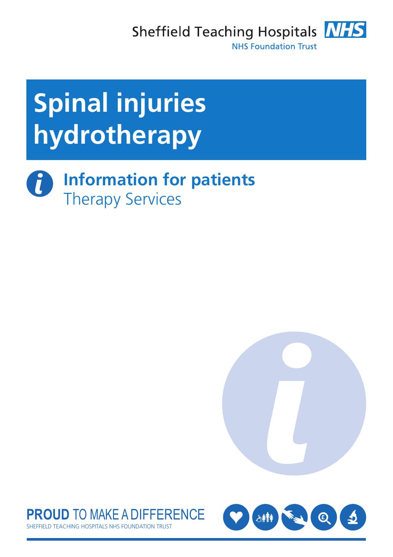Sheffield Teaching Hospitals **NHS** 



**NHS Foundation Trust** 

# **Spinal injuries hydrotherapy**

 $\boldsymbol{d}$ **Information for patients** Therapy Services





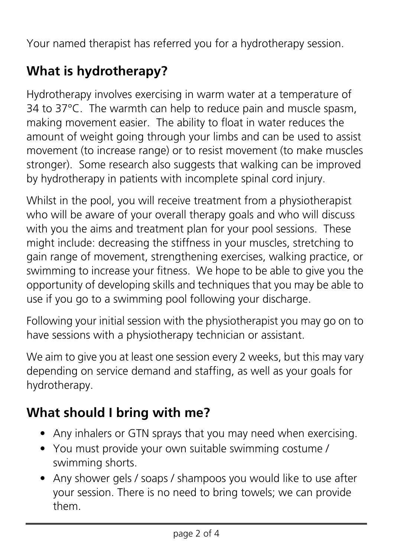Your named therapist has referred you for a hydrotherapy session.

## **What is hydrotherapy?**

Hydrotherapy involves exercising in warm water at a temperature of 34 to 37°C. The warmth can help to reduce pain and muscle spasm, making movement easier. The ability to float in water reduces the amount of weight going through your limbs and can be used to assist movement (to increase range) or to resist movement (to make muscles stronger). Some research also suggests that walking can be improved by hydrotherapy in patients with incomplete spinal cord injury.

Whilst in the pool, you will receive treatment from a physiotherapist who will be aware of your overall therapy goals and who will discuss with you the aims and treatment plan for your pool sessions. These might include: decreasing the stiffness in your muscles, stretching to gain range of movement, strengthening exercises, walking practice, or swimming to increase your fitness. We hope to be able to give you the opportunity of developing skills and techniques that you may be able to use if you go to a swimming pool following your discharge.

Following your initial session with the physiotherapist you may go on to have sessions with a physiotherapy technician or assistant.

We aim to give you at least one session every 2 weeks, but this may vary depending on service demand and staffing, as well as your goals for hydrotherapy.

### **What should I bring with me?**

- Any inhalers or GTN sprays that you may need when exercising.
- You must provide your own suitable swimming costume / swimming shorts.
- Any shower gels / soaps / shampoos you would like to use after your session. There is no need to bring towels; we can provide them.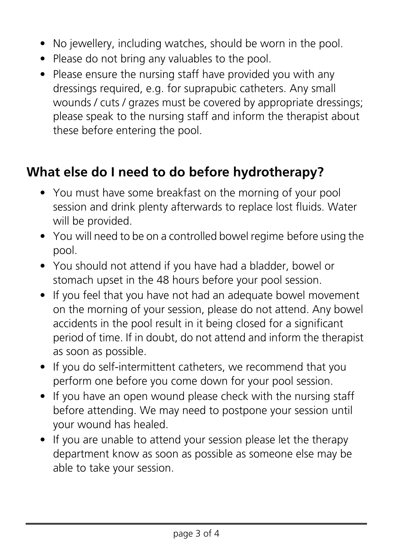- No jewellery, including watches, should be worn in the pool.
- Please do not bring any valuables to the pool.
- Please ensure the nursing staff have provided you with any dressings required, e.g. for suprapubic catheters. Any small wounds / cuts / grazes must be covered by appropriate dressings; please speak to the nursing staff and inform the therapist about these before entering the pool.

#### **What else do I need to do before hydrotherapy?**

- You must have some breakfast on the morning of your pool session and drink plenty afterwards to replace lost fluids. Water will be provided.
- You will need to be on a controlled bowel regime before using the pool.
- You should not attend if you have had a bladder, bowel or stomach upset in the 48 hours before your pool session.
- If you feel that you have not had an adequate bowel movement on the morning of your session, please do not attend. Any bowel accidents in the pool result in it being closed for a significant period of time. If in doubt, do not attend and inform the therapist as soon as possible.
- If you do self-intermittent catheters, we recommend that you perform one before you come down for your pool session.
- If you have an open wound please check with the nursing staff before attending. We may need to postpone your session until your wound has healed.
- If you are unable to attend your session please let the therapy department know as soon as possible as someone else may be able to take your session.